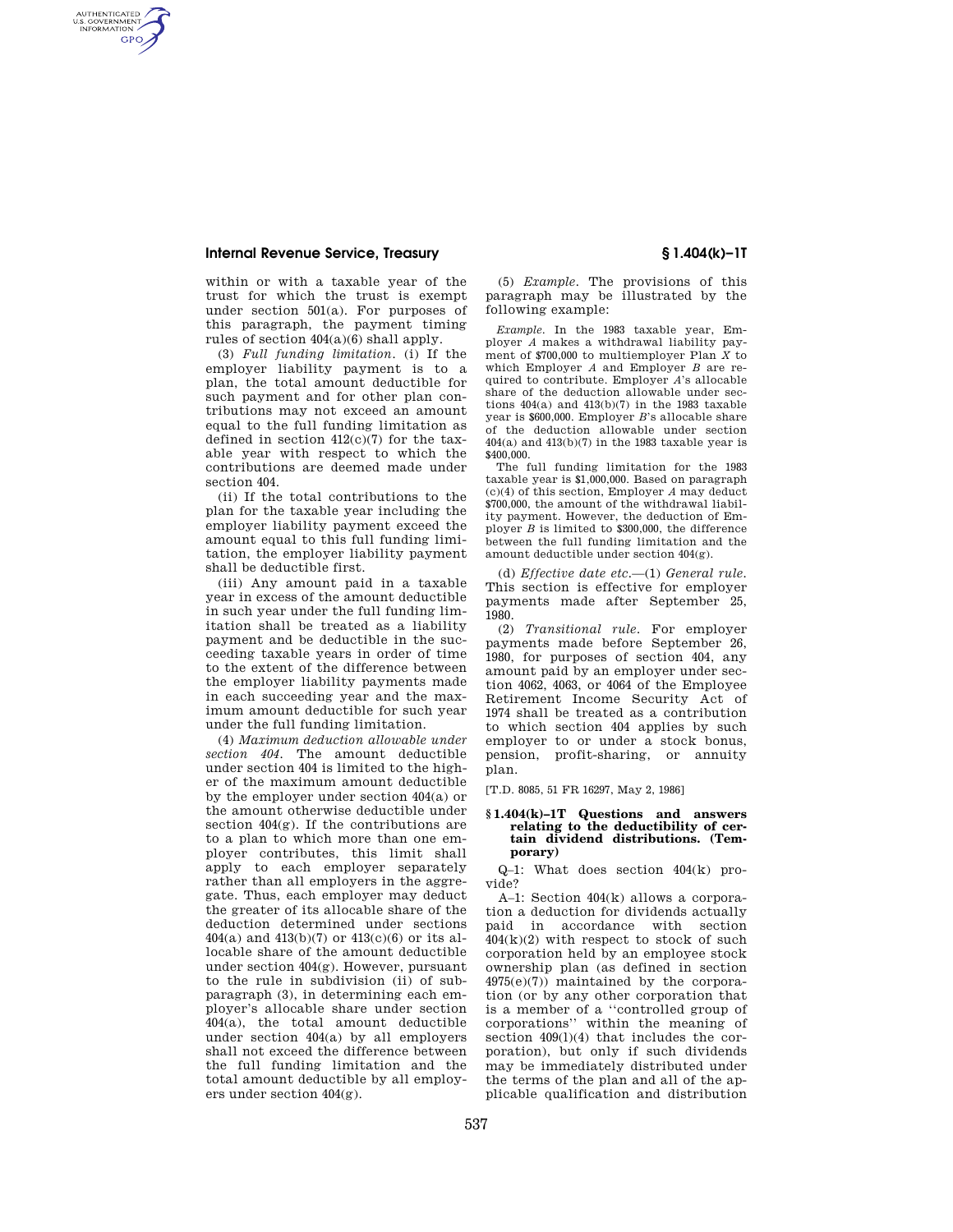## **Internal Revenue Service, Treasury § 1.404(k)–1T**

AUTHENTICATED<br>U.S. GOVERNMENT<br>INFORMATION **GPO** 

> within or with a taxable year of the trust for which the trust is exempt under section 501(a). For purposes of this paragraph, the payment timing rules of section 404(a)(6) shall apply.

> (3) *Full funding limitation.* (i) If the employer liability payment is to a plan, the total amount deductible for such payment and for other plan contributions may not exceed an amount equal to the full funding limitation as defined in section  $412(c)(7)$  for the taxable year with respect to which the contributions are deemed made under section 404.

> (ii) If the total contributions to the plan for the taxable year including the employer liability payment exceed the amount equal to this full funding limitation, the employer liability payment shall be deductible first.

> (iii) Any amount paid in a taxable year in excess of the amount deductible in such year under the full funding limitation shall be treated as a liability payment and be deductible in the succeeding taxable years in order of time to the extent of the difference between the employer liability payments made in each succeeding year and the maximum amount deductible for such year under the full funding limitation.

> (4) *Maximum deduction allowable under section 404.* The amount deductible under section 404 is limited to the higher of the maximum amount deductible by the employer under section 404(a) or the amount otherwise deductible under section  $404(g)$ . If the contributions are to a plan to which more than one employer contributes, this limit shall apply to each employer separately rather than all employers in the aggregate. Thus, each employer may deduct the greater of its allocable share of the deduction determined under sections 404(a) and 413(b)(7) or 413(c)(6) or its allocable share of the amount deductible under section 404(g). However, pursuant to the rule in subdivision (ii) of subparagraph (3), in determining each employer's allocable share under section 404(a), the total amount deductible under section 404(a) by all employers shall not exceed the difference between the full funding limitation and the total amount deductible by all employers under section 404(g).

(5) *Example.* The provisions of this paragraph may be illustrated by the following example:

*Example.* In the 1983 taxable year, Employer *A* makes a withdrawal liability payment of \$700,000 to multiemployer Plan *X* to which Employer *A* and Employer *B* are required to contribute. Employer *A*'s allocable share of the deduction allowable under sections 404(a) and 413(b)(7) in the 1983 taxable year is \$600,000. Employer *B*'s allocable share of the deduction allowable under section  $404(a)$  and  $413(b)(7)$  in the 1983 taxable year is \$400,000.

The full funding limitation for the 1983 taxable year is \$1,000,000. Based on paragraph (c)(4) of this section, Employer *A* may deduct \$700,000, the amount of the withdrawal liability payment. However, the deduction of Employer *B* is limited to \$300,000, the difference between the full funding limitation and the amount deductible under section 404(g).

(d) *Effective date etc.*—(1) *General rule.*  This section is effective for employer payments made after September 25, 1980.

(2) *Transitional rule.* For employer payments made before September 26, 1980, for purposes of section 404, any amount paid by an employer under section 4062, 4063, or 4064 of the Employee Retirement Income Security Act of 1974 shall be treated as a contribution to which section 404 applies by such employer to or under a stock bonus, pension, profit-sharing, or annuity plan.

[T.D. 8085, 51 FR 16297, May 2, 1986]

## **§ 1.404(k)–1T Questions and answers relating to the deductibility of certain dividend distributions. (Temporary)**

Q–1: What does section 404(k) provide?

A–1: Section 404(k) allows a corporation a deduction for dividends actually paid in accordance with section  $404(k)(2)$  with respect to stock of such corporation held by an employee stock ownership plan (as defined in section  $4975(e)(7)$  maintained by the corporation (or by any other corporation that is a member of a ''controlled group of corporations'' within the meaning of section 409(l)(4) that includes the corporation), but only if such dividends may be immediately distributed under the terms of the plan and all of the applicable qualification and distribution